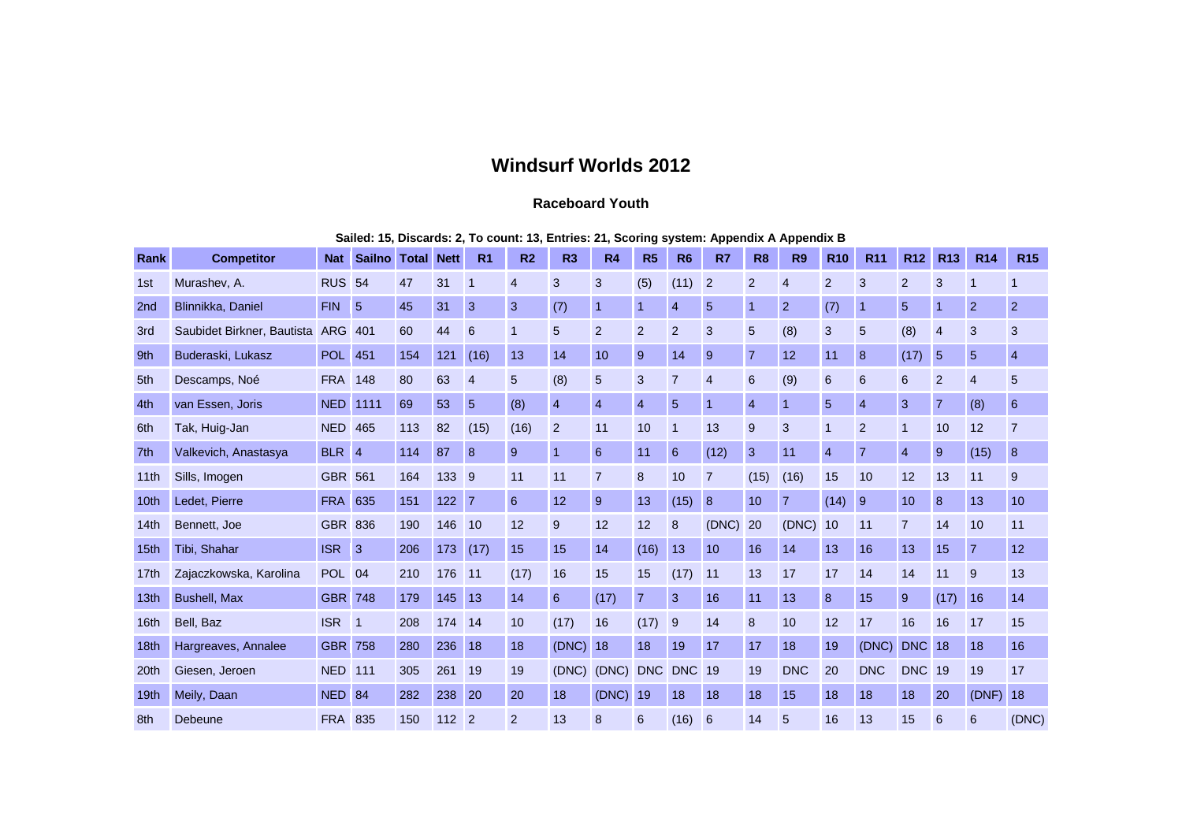## **Windsurf Worlds 2012**

## **Raceboard Youth**

| Sailed: 15, Discards: 2, To count: 13, Entries: 21, Scoring system: Appendix A Appendix B |  |  |
|-------------------------------------------------------------------------------------------|--|--|
|-------------------------------------------------------------------------------------------|--|--|

| Rank             | <b>Competitor</b>          | <b>Nat</b>     | <b>Sailno</b>   | <b>Total</b> | <b>Nett</b> | R <sub>1</sub>  | R <sub>2</sub> | R <sub>3</sub> | <b>R4</b>      | R <sub>5</sub> | R <sub>6</sub> | <b>R7</b>      | R <sub>8</sub>   | <b>R9</b>      | <b>R10</b>      | <b>R11</b>     | R <sub>12</sub> | <b>R13</b>     | <b>R14</b>     | <b>R15</b>     |
|------------------|----------------------------|----------------|-----------------|--------------|-------------|-----------------|----------------|----------------|----------------|----------------|----------------|----------------|------------------|----------------|-----------------|----------------|-----------------|----------------|----------------|----------------|
| 1st              | Murashev, A.               | <b>RUS 54</b>  |                 | 47           | 31          | 1               | $\overline{4}$ | 3              | 3              | (5)            | (11)           | $\overline{2}$ | $\overline{2}$   | $\overline{4}$ | $\overline{2}$  | 3              | 2               | 3              | 1              | -1             |
| 2nd              | Blinnikka, Daniel          | <b>FIN</b>     | $5\overline{5}$ | 45           | 31          | 3               | 3              | (7)            | $\overline{1}$ | 1              | $\overline{4}$ | 5              | $\overline{1}$   | $\overline{2}$ | (7)             | $\overline{1}$ | 5               |                | $\overline{2}$ | $\overline{2}$ |
| 3rd              | Saubidet Birkner, Bautista | <b>ARG</b>     | 401             | 60           | 44          | $6\phantom{1}6$ | $\mathbf{1}$   | 5              | $\overline{2}$ | $\overline{2}$ | $\overline{2}$ | 3              | $5\phantom{.0}$  | (8)            | 3               | 5              | (8)             | $\overline{4}$ | 3              | 3              |
| 9th              | Buderaski, Lukasz          | <b>POL</b> 451 |                 | 154          | 121         | (16)            | 13             | 14             | 10             | 9              | 14             | 9              | $\overline{7}$   | 12             | 11              | 8              | (17)            | $5\phantom{1}$ | $5\phantom{1}$ | $\overline{4}$ |
| 5th              | Descamps, Noé              | <b>FRA</b>     | 148             | 80           | 63          | $\overline{4}$  | 5              | (8)            | 5              | 3              | $\overline{7}$ | $\overline{4}$ | 6                | (9)            | $6\phantom{1}6$ | 6              | 6               | $\overline{2}$ | $\overline{4}$ | 5              |
| 4th              | van Essen, Joris           | <b>NED</b>     | 1111            | 69           | 53          | $5\overline{5}$ | (8)            | $\overline{4}$ | $\overline{4}$ | $\overline{4}$ | 5              | 1              | $\overline{4}$   | 1              | 5               | $\overline{4}$ | 3               | $\overline{7}$ | (8)            | 6              |
| 6th              | Tak, Huig-Jan              | <b>NED</b>     | 465             | 113          | 82          | (15)            | (16)           | $\overline{2}$ | 11             | 10             | $\mathbf 1$    | 13             | $\boldsymbol{9}$ | 3              | $\mathbf 1$     | 2              | $\mathbf{1}$    | 10             | 12             | $\overline{7}$ |
| 7th              | Valkevich, Anastasya       | BLR 4          |                 | 114          | 87          | 8               | 9              | $\overline{1}$ | 6              | 11             | 6              | (12)           | 3                | 11             | $\overline{4}$  | $\overline{7}$ | $\overline{4}$  | 9              | (15)           | 8              |
| 11th             | Sills, Imogen              | <b>GBR</b>     | 561             | 164          | 133         | 9               | 11             | 11             | $\overline{7}$ | 8              | 10             | $\overline{7}$ | (15)             | (16)           | 15              | 10             | 12              | 13             | 11             | 9              |
| 10 <sub>th</sub> | Ledet, Pierre              | <b>FRA</b>     | 635             | 151          | 122         | $\overline{7}$  | 6              | 12             | 9              | 13             | (15)           | 8              | 10               | $\overline{7}$ | (14)            | 9              | 10              | 8              | 13             | 10             |
| 14 <sub>th</sub> | Bennett, Joe               | <b>GBR 836</b> |                 | 190          | 146         | 10              | 12             | 9              | 12             | 12             | 8              | (DNC)          | 20               | (DNC)          | 10              | 11             | $\overline{7}$  | 14             | 10             | 11             |
| 15th             | Tibi, Shahar               | <b>ISR</b>     | 3               | 206          | 173         | (17)            | 15             | 15             | 14             | (16)           | 13             | 10             | 16               | 14             | 13              | 16             | 13              | 15             | $\overline{7}$ | 12             |
| 17 <sub>th</sub> | Zajaczkowska, Karolina     | POL 04         |                 | 210          | 176         | 11              | (17)           | 16             | 15             | 15             | (17)           | 11             | 13               | 17             | 17              | 14             | 14              | 11             | 9              | 13             |
| 13th             | <b>Bushell, Max</b>        | <b>GBR 748</b> |                 | 179          | 145         | 13              | 14             | 6              | (17)           | $\overline{7}$ | 3              | 16             | 11               | 13             | 8               | 15             | 9               | (17)           | 16             | 14             |
| 16 <sub>th</sub> | Bell. Baz                  | <b>ISR</b>     | $\overline{1}$  | 208          | 174         | 14              | 10             | (17)           | 16             | (17)           | 9              | 14             | 8                | 10             | 12              | 17             | 16              | 16             | 17             | 15             |
| 18 <sub>th</sub> | Hargreaves, Annalee        | <b>GBR</b> 758 |                 | 280          | 236         | 18              | 18             | (DNC)          | 18             | 18             | 19             | 17             | 17               | 18             | 19              | (DNC)          | <b>DNC</b>      | 18             | 18             | 16             |
| 20th             | Giesen, Jeroen             | <b>NED</b>     | 111             | 305          | 261         | 19              | 19             | (DNC)          | (DNC)          |                | DNC DNC        | 19             | 19               | <b>DNC</b>     | 20              | <b>DNC</b>     | <b>DNC</b> 19   |                | 19             | 17             |
| 19th             | Meily, Daan                | NED 84         |                 | 282          | 238         | 20              | 20             | 18             | (DNC)          | 19             | 18             | 18             | 18               | 15             | 18              | 18             | 18              | 20             | (DNF)          | 18             |
| 8th              | <b>Debeune</b>             | <b>FRA</b>     | 835             | 150          | 112         | $\overline{2}$  | $\overline{2}$ | 13             | 8              | 6              | (16)           | 6              | 14               | 5              | 16              | 13             | 15              | 6              | 6              | (DNC)          |